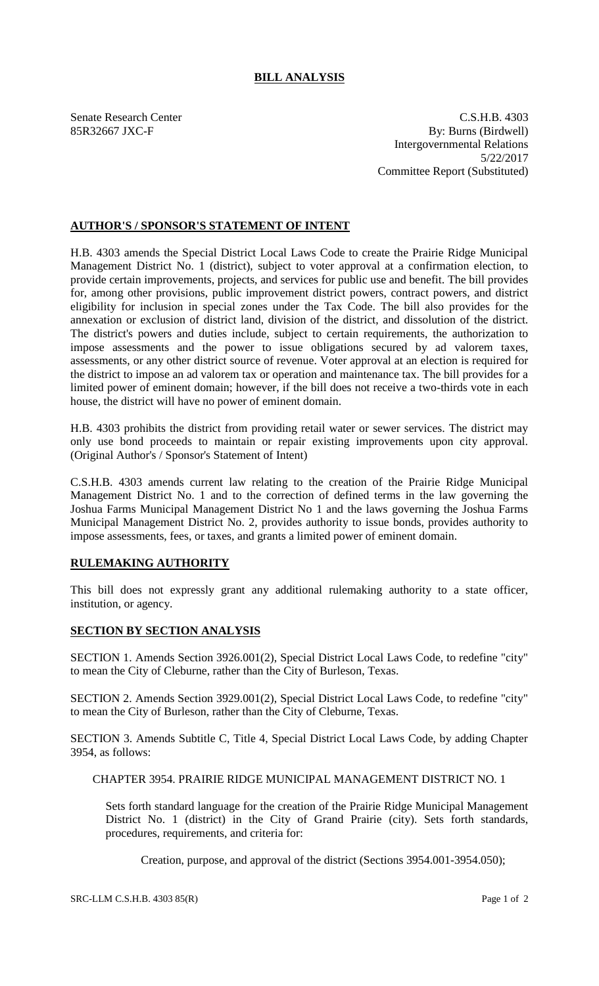## **BILL ANALYSIS**

Senate Research Center C.S.H.B. 4303 85R32667 JXC-F By: Burns (Birdwell) Intergovernmental Relations 5/22/2017 Committee Report (Substituted)

## **AUTHOR'S / SPONSOR'S STATEMENT OF INTENT**

H.B. 4303 amends the Special District Local Laws Code to create the Prairie Ridge Municipal Management District No. 1 (district), subject to voter approval at a confirmation election, to provide certain improvements, projects, and services for public use and benefit. The bill provides for, among other provisions, public improvement district powers, contract powers, and district eligibility for inclusion in special zones under the Tax Code. The bill also provides for the annexation or exclusion of district land, division of the district, and dissolution of the district. The district's powers and duties include, subject to certain requirements, the authorization to impose assessments and the power to issue obligations secured by ad valorem taxes, assessments, or any other district source of revenue. Voter approval at an election is required for the district to impose an ad valorem tax or operation and maintenance tax. The bill provides for a limited power of eminent domain; however, if the bill does not receive a two-thirds vote in each house, the district will have no power of eminent domain.

H.B. 4303 prohibits the district from providing retail water or sewer services. The district may only use bond proceeds to maintain or repair existing improvements upon city approval. (Original Author's / Sponsor's Statement of Intent)

C.S.H.B. 4303 amends current law relating to the creation of the Prairie Ridge Municipal Management District No. 1 and to the correction of defined terms in the law governing the Joshua Farms Municipal Management District No 1 and the laws governing the Joshua Farms Municipal Management District No. 2, provides authority to issue bonds, provides authority to impose assessments, fees, or taxes, and grants a limited power of eminent domain.

## **RULEMAKING AUTHORITY**

This bill does not expressly grant any additional rulemaking authority to a state officer, institution, or agency.

## **SECTION BY SECTION ANALYSIS**

SECTION 1. Amends Section 3926.001(2), Special District Local Laws Code, to redefine "city" to mean the City of Cleburne, rather than the City of Burleson, Texas.

SECTION 2. Amends Section 3929.001(2), Special District Local Laws Code, to redefine "city" to mean the City of Burleson, rather than the City of Cleburne, Texas.

SECTION 3. Amends Subtitle C, Title 4, Special District Local Laws Code, by adding Chapter 3954, as follows:

CHAPTER 3954. PRAIRIE RIDGE MUNICIPAL MANAGEMENT DISTRICT NO. 1

Sets forth standard language for the creation of the Prairie Ridge Municipal Management District No. 1 (district) in the City of Grand Prairie (city). Sets forth standards, procedures, requirements, and criteria for:

Creation, purpose, and approval of the district (Sections 3954.001-3954.050);